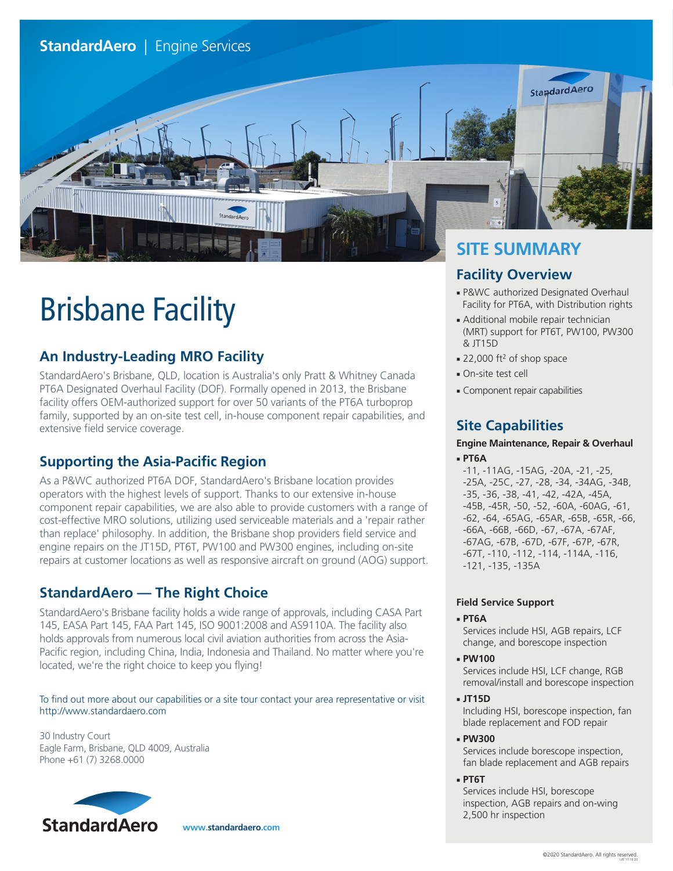

# Brisbane Facility

# **An Industry-Leading MRO Facility**

StandardAero's Brisbane, QLD, location is Australia's only Pratt & Whitney Canada PT6A Designated Overhaul Facility (DOF). Formally opened in 2013, the Brisbane facility offers OEM-authorized support for over 50 variants of the PT6A turboprop family, supported by an on-site test cell, in-house component repair capabilities, and extensive field service coverage.

# **Supporting the Asia-Pacific Region**

As a P&WC authorized PT6A DOF, StandardAero's Brisbane location provides operators with the highest levels of support. Thanks to our extensive in-house component repair capabilities, we are also able to provide customers with a range of cost-effective MRO solutions, utilizing used serviceable materials and a 'repair rather than replace' philosophy. In addition, the Brisbane shop providers field service and engine repairs on the JT15D, PT6T, PW100 and PW300 engines, including on-site repairs at customer locations as well as responsive aircraft on ground (AOG) support.

# **StandardAero — The Right Choice**

StandardAero's Brisbane facility holds a wide range of approvals, including CASA Part 145, EASA Part 145, FAA Part 145, ISO 9001:2008 and AS9110A. The facility also holds approvals from numerous local civil aviation authorities from across the Asia-Pacific region, including China, India, Indonesia and Thailand. No matter where you're located, we're the right choice to keep you flying!

To find out more about our capabilities or a site tour contact your area representative or visit http://www.standardaero.com

30 Industry Court Eagle Farm, Brisbane, QLD 4009, Australia Phone +61 (7) 3268.0000



 **www.standardaero.com**

# **SITE SUMMARY**

## **Facility Overview**

- P&WC authorized Designated Overhaul Facility for PT6A, with Distribution rights
- Additional mobile repair technician (MRT) support for PT6T, PW100, PW300 & JT15D
- 22,000 ft<sup>2</sup> of shop space
- On-site test cell
- Component repair capabilities

# **Site Capabilities**

#### **Engine Maintenance, Repair & Overhaul** ■ **PT6A**

-11, -11AG, -15AG, -20A, -21, -25, -25A, -25C, -27, -28, -34, -34AG, -34B, -35, -36, -38, -41, -42, -42A, -45A, -45B, -45R, -50, -52, -60A, -60AG, -61, -62, -64, -65AG, -65AR, -65B, -65R, -66, -66A, -66B, -66D, -67, -67A, -67AF, -67AG, -67B, -67D, -67F, -67P, -67R, -67T, -110, -112, -114, -114A, -116, -121, -135, -135A

## **Field Service Support**

### ■ **PT6A**

Services include HSI, AGB repairs, LCF change, and borescope inspection

■ **PW100**

Services include HSI, LCF change, RGB removal/install and borescope inspection

- **JT15D** Including HSI, borescope inspection, fan
- blade replacement and FOD repair ■ **PW300**

Services include borescope inspection, fan blade replacement and AGB repairs

■ **PT6T**

Services include HSI, borescope inspection, AGB repairs and on-wing 2,500 hr inspection